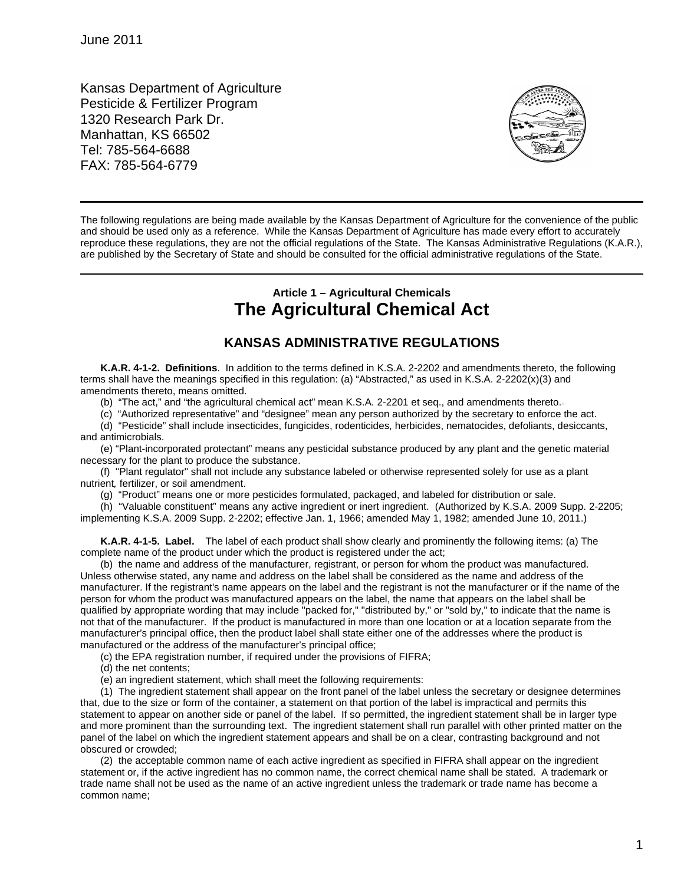Kansas Department of Agriculture Pesticide & Fertilizer Program 1320 Research Park Dr. Manhattan, KS 66502 Tel: 785-564-6688 FAX: 785-564-6779



The following regulations are being made available by the Kansas Department of Agriculture for the convenience of the public and should be used only as a reference. While the Kansas Department of Agriculture has made every effort to accurately reproduce these regulations, they are not the official regulations of the State. The Kansas Administrative Regulations (K.A.R.), are published by the Secretary of State and should be consulted for the official administrative regulations of the State.

## **Article 1 – Agricultural Chemicals The Agricultural Chemical Act**

## **KANSAS ADMINISTRATIVE REGULATIONS**

**K.A.R. 4-1-2. Definitions**. In addition to the terms defined in K.S.A. 2-2202 and amendments thereto, the following terms shall have the meanings specified in this regulation: (a) "Abstracted," as used in K.S.A. 2-2202(x)(3) and amendments thereto, means omitted.

(b) "The act," and "the agricultural chemical act" mean K.S.A. 2-2201 et seq., and amendments thereto.

(c) "Authorized representative" and "designee" mean any person authorized by the secretary to enforce the act.

(d) "Pesticide" shall include insecticides, fungicides, rodenticides, herbicides, nematocides, defoliants, desiccants, and antimicrobials.

(e) "Plant-incorporated protectant" means any pesticidal substance produced by any plant and the genetic material necessary for the plant to produce the substance.

(f) "Plant regulator" shall not include any substance labeled or otherwise represented solely for use as a plant nutrient*,* fertilizer, or soil amendment.

(g) "Product" means one or more pesticides formulated, packaged, and labeled for distribution or sale.

(h) "Valuable constituent" means any active ingredient or inert ingredient. (Authorized by K.S.A. 2009 Supp. 2-2205; implementing K.S.A. 2009 Supp. 2-2202; effective Jan. 1, 1966; amended May 1, 1982; amended June 10, 2011.)

**K.A.R. 4-1-5. Label.** The label of each product shall show clearly and prominently the following items: (a) The complete name of the product under which the product is registered under the act;

(b) the name and address of the manufacturer, registrant, or person for whom the product was manufactured. Unless otherwise stated, any name and address on the label shall be considered as the name and address of the manufacturer. If the registrant's name appears on the label and the registrant is not the manufacturer or if the name of the person for whom the product was manufactured appears on the label, the name that appears on the label shall be qualified by appropriate wording that may include "packed for," "distributed by," or "sold by," to indicate that the name is not that of the manufacturer. If the product is manufactured in more than one location or at a location separate from the manufacturer's principal office, then the product label shall state either one of the addresses where the product is manufactured or the address of the manufacturer's principal office;

(c) the EPA registration number, if required under the provisions of FIFRA;

- (d) the net contents;
- (e) an ingredient statement, which shall meet the following requirements:

(1) The ingredient statement shall appear on the front panel of the label unless the secretary or designee determines that, due to the size or form of the container, a statement on that portion of the label is impractical and permits this statement to appear on another side or panel of the label. If so permitted, the ingredient statement shall be in larger type and more prominent than the surrounding text. The ingredient statement shall run parallel with other printed matter on the panel of the label on which the ingredient statement appears and shall be on a clear, contrasting background and not obscured or crowded;

(2) the acceptable common name of each active ingredient as specified in FIFRA shall appear on the ingredient statement or, if the active ingredient has no common name, the correct chemical name shall be stated. A trademark or trade name shall not be used as the name of an active ingredient unless the trademark or trade name has become a common name;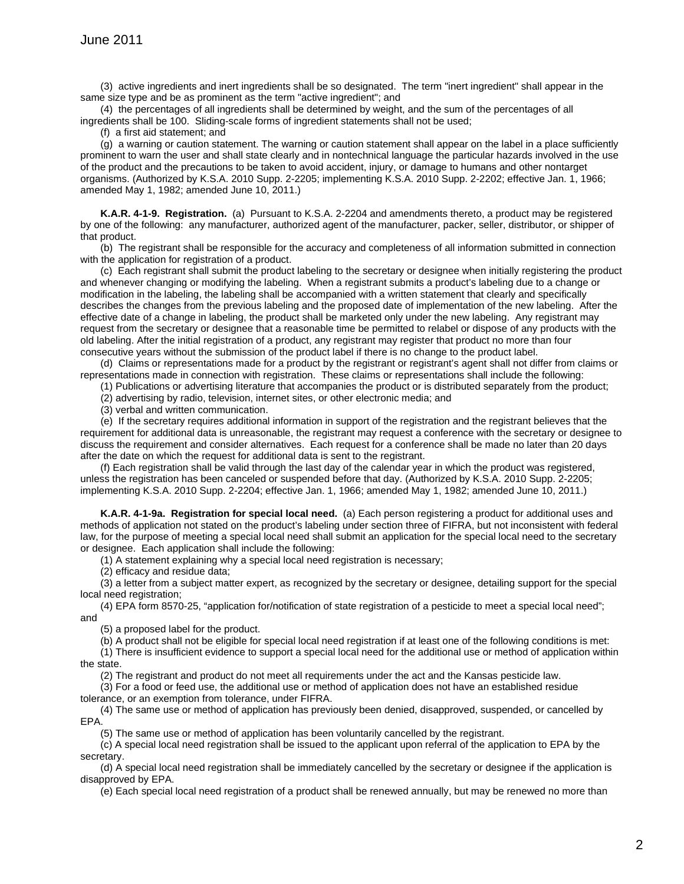(3) active ingredients and inert ingredients shall be so designated. The term "inert ingredient" shall appear in the same size type and be as prominent as the term "active ingredient"; and

(4) the percentages of all ingredients shall be determined by weight, and the sum of the percentages of all ingredients shall be 100. Sliding-scale forms of ingredient statements shall not be used;

(f) a first aid statement; and

(g) a warning or caution statement. The warning or caution statement shall appear on the label in a place sufficiently prominent to warn the user and shall state clearly and in nontechnical language the particular hazards involved in the use of the product and the precautions to be taken to avoid accident, injury, or damage to humans and other nontarget organisms. (Authorized by K.S.A. 2010 Supp. 2-2205; implementing K.S.A. 2010 Supp. 2-2202; effective Jan. 1, 1966; amended May 1, 1982; amended June 10, 2011.)

**K.A.R. 4-1-9. Registration.** (a) Pursuant to K.S.A. 2-2204 and amendments thereto, a product may be registered by one of the following: any manufacturer, authorized agent of the manufacturer, packer, seller, distributor, or shipper of that product.

(b) The registrant shall be responsible for the accuracy and completeness of all information submitted in connection with the application for registration of a product.

(c) Each registrant shall submit the product labeling to the secretary or designee when initially registering the product and whenever changing or modifying the labeling. When a registrant submits a product's labeling due to a change or modification in the labeling, the labeling shall be accompanied with a written statement that clearly and specifically describes the changes from the previous labeling and the proposed date of implementation of the new labeling. After the effective date of a change in labeling, the product shall be marketed only under the new labeling. Any registrant may request from the secretary or designee that a reasonable time be permitted to relabel or dispose of any products with the old labeling. After the initial registration of a product, any registrant may register that product no more than four consecutive years without the submission of the product label if there is no change to the product label.

(d) Claims or representations made for a product by the registrant or registrant's agent shall not differ from claims or representations made in connection with registration. These claims or representations shall include the following:

(1) Publications or advertising literature that accompanies the product or is distributed separately from the product;

(2) advertising by radio, television, internet sites, or other electronic media; and

(3) verbal and written communication.

(e) If the secretary requires additional information in support of the registration and the registrant believes that the requirement for additional data is unreasonable, the registrant may request a conference with the secretary or designee to discuss the requirement and consider alternatives. Each request for a conference shall be made no later than 20 days after the date on which the request for additional data is sent to the registrant.

(f) Each registration shall be valid through the last day of the calendar year in which the product was registered, unless the registration has been canceled or suspended before that day. (Authorized by K.S.A. 2010 Supp. 2-2205; implementing K.S.A. 2010 Supp. 2-2204; effective Jan. 1, 1966; amended May 1, 1982; amended June 10, 2011.)

**K.A.R. 4-1-9a. Registration for special local need.** (a) Each person registering a product for additional uses and methods of application not stated on the product's labeling under section three of FIFRA, but not inconsistent with federal law, for the purpose of meeting a special local need shall submit an application for the special local need to the secretary or designee. Each application shall include the following:

(1) A statement explaining why a special local need registration is necessary;

(2) efficacy and residue data;

(3) a letter from a subject matter expert, as recognized by the secretary or designee, detailing support for the special local need registration;

(4) EPA form 8570-25, "application for/notification of state registration of a pesticide to meet a special local need"; and

(5) a proposed label for the product.

(b) A product shall not be eligible for special local need registration if at least one of the following conditions is met:

(1) There is insufficient evidence to support a special local need for the additional use or method of application within the state.

(2) The registrant and product do not meet all requirements under the act and the Kansas pesticide law.

(3) For a food or feed use, the additional use or method of application does not have an established residue

tolerance, or an exemption from tolerance, under FIFRA.

(4) The same use or method of application has previously been denied, disapproved, suspended, or cancelled by EPA.

(5) The same use or method of application has been voluntarily cancelled by the registrant.

(c) A special local need registration shall be issued to the applicant upon referral of the application to EPA by the secretary.

(d) A special local need registration shall be immediately cancelled by the secretary or designee if the application is disapproved by EPA.

(e) Each special local need registration of a product shall be renewed annually, but may be renewed no more than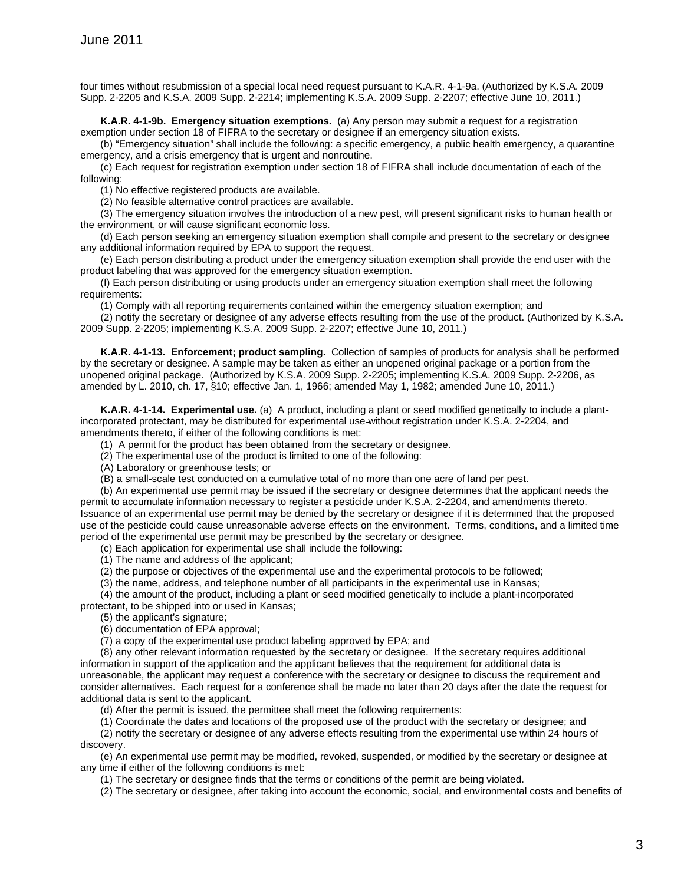four times without resubmission of a special local need request pursuant to K.A.R. 4-1-9a. (Authorized by K.S.A. 2009 Supp. 2-2205 and K.S.A. 2009 Supp. 2-2214; implementing K.S.A. 2009 Supp. 2-2207; effective June 10, 2011.)

**K.A.R. 4-1-9b. Emergency situation exemptions.** (a) Any person may submit a request for a registration exemption under section 18 of FIFRA to the secretary or designee if an emergency situation exists.

(b) "Emergency situation" shall include the following: a specific emergency, a public health emergency, a quarantine emergency, and a crisis emergency that is urgent and nonroutine.

(c) Each request for registration exemption under section 18 of FIFRA shall include documentation of each of the following:

(1) No effective registered products are available.

(2) No feasible alternative control practices are available.

(3) The emergency situation involves the introduction of a new pest, will present significant risks to human health or the environment, or will cause significant economic loss.

(d) Each person seeking an emergency situation exemption shall compile and present to the secretary or designee any additional information required by EPA to support the request.

(e) Each person distributing a product under the emergency situation exemption shall provide the end user with the product labeling that was approved for the emergency situation exemption.

(f) Each person distributing or using products under an emergency situation exemption shall meet the following requirements:

(1) Comply with all reporting requirements contained within the emergency situation exemption; and

(2) notify the secretary or designee of any adverse effects resulting from the use of the product. (Authorized by K.S.A. 2009 Supp. 2-2205; implementing K.S.A. 2009 Supp. 2-2207; effective June 10, 2011.)

**K.A.R. 4-1-13. Enforcement; product sampling.** Collection of samples of products for analysis shall be performed by the secretary or designee. A sample may be taken as either an unopened original package or a portion from the unopened original package. (Authorized by K.S.A. 2009 Supp. 2-2205; implementing K.S.A. 2009 Supp. 2-2206, as amended by L. 2010, ch. 17, §10; effective Jan. 1, 1966; amended May 1, 1982; amended June 10, 2011.)

**K.A.R. 4-1-14. Experimental use.** (a) A product, including a plant or seed modified genetically to include a plantincorporated protectant, may be distributed for experimental use without registration under K.S.A. 2-2204, and amendments thereto, if either of the following conditions is met:

(1) A permit for the product has been obtained from the secretary or designee.

(2) The experimental use of the product is limited to one of the following:

(A) Laboratory or greenhouse tests; or

(B) a small-scale test conducted on a cumulative total of no more than one acre of land per pest.

(b) An experimental use permit may be issued if the secretary or designee determines that the applicant needs the permit to accumulate information necessary to register a pesticide under K.S.A. 2-2204, and amendments thereto. Issuance of an experimental use permit may be denied by the secretary or designee if it is determined that the proposed use of the pesticide could cause unreasonable adverse effects on the environment. Terms, conditions, and a limited time period of the experimental use permit may be prescribed by the secretary or designee.

(c) Each application for experimental use shall include the following:

(1) The name and address of the applicant;

(2) the purpose or objectives of the experimental use and the experimental protocols to be followed;

(3) the name, address, and telephone number of all participants in the experimental use in Kansas;

(4) the amount of the product, including a plant or seed modified genetically to include a plant-incorporated protectant, to be shipped into or used in Kansas;

(5) the applicant's signature;

(6) documentation of EPA approval;

(7) a copy of the experimental use product labeling approved by EPA; and

(8) any other relevant information requested by the secretary or designee. If the secretary requires additional information in support of the application and the applicant believes that the requirement for additional data is unreasonable, the applicant may request a conference with the secretary or designee to discuss the requirement and consider alternatives. Each request for a conference shall be made no later than 20 days after the date the request for additional data is sent to the applicant.

(d) After the permit is issued, the permittee shall meet the following requirements:

(1) Coordinate the dates and locations of the proposed use of the product with the secretary or designee; and

(2) notify the secretary or designee of any adverse effects resulting from the experimental use within 24 hours of discovery.

(e) An experimental use permit may be modified, revoked, suspended, or modified by the secretary or designee at any time if either of the following conditions is met:

(1) The secretary or designee finds that the terms or conditions of the permit are being violated.

(2) The secretary or designee, after taking into account the economic, social, and environmental costs and benefits of